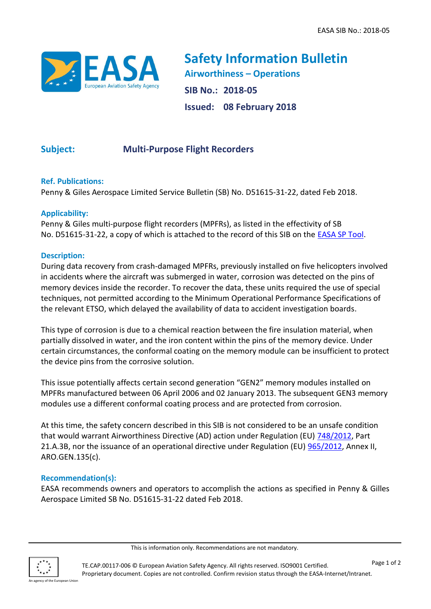

**Safety Information Bulletin Airworthiness – Operations SIB No.: 2018-05 Issued: 08 February 2018**

# **Subject: Multi-Purpose Flight Recorders**

#### **Ref. Publications:**

Penny & Giles Aerospace Limited Service Bulletin (SB) No. D51615-31-22, dated Feb 2018.

#### **Applicability:**

Penny & Giles multi-purpose flight recorders (MPFRs), as listed in the effectivity of SB No. D51615-31-22, a copy of which is attached to the record of this SIB on the [EASA SP Tool.](https://ad.easa.europa.eu/)

#### **Description:**

During data recovery from crash-damaged MPFRs, previously installed on five helicopters involved in accidents where the aircraft was submerged in water, corrosion was detected on the pins of memory devices inside the recorder. To recover the data, these units required the use of special techniques, not permitted according to the Minimum Operational Performance Specifications of the relevant ETSO, which delayed the availability of data to accident investigation boards.

This type of corrosion is due to a chemical reaction between the fire insulation material, when partially dissolved in water, and the iron content within the pins of the memory device. Under certain circumstances, the conformal coating on the memory module can be insufficient to protect the device pins from the corrosive solution.

This issue potentially affects certain second generation "GEN2" memory modules installed on MPFRs manufactured between 06 April 2006 and 02 January 2013. The subsequent GEN3 memory modules use a different conformal coating process and are protected from corrosion.

At this time, the safety concern described in this SIB is not considered to be an unsafe condition that would warrant Airworthiness Directive (AD) action under Regulation (EU) [748/2012,](http://eur-lex.europa.eu/LexUriServ/LexUriServ.do?uri=OJ:L:2012:224:0001:0085:EN:PDF) Part 21.A.3B, nor the issuance of an operational directive under Regulation (EU) [965/2012,](http://eur-lex.europa.eu/LexUriServ/LexUriServ.do?uri=OJ:L:2012:296:0001:0148:EN:PDF) Annex II, ARO.GEN.135(c).

### **Recommendation(s):**

EASA recommends owners and operators to accomplish the actions as specified in Penny & Gilles Aerospace Limited SB No. D51615-31-22 dated Feb 2018.



This is information only. Recommendations are not mandatory.